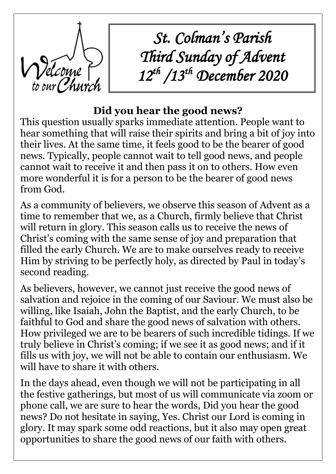

*St. Colman's Parish Third Sunday of Advent 12th /13th December 2020*

# **Did you hear the good news?**

This question usually sparks immediate attention. People want to hear something that will raise their spirits and bring a bit of joy into their lives. At the same time, it feels good to be the bearer of good news. Typically, people cannot wait to tell good news, and people cannot wait to receive it and then pass it on to others. How even more wonderful it is for a person to be the bearer of good news from God.

As a community of believers, we observe this season of Advent as a time to remember that we, as a Church, firmly believe that Christ will return in glory. This season calls us to receive the news of Christ's coming with the same sense of joy and preparation that filled the early Church. We are to make ourselves ready to receive Him by striving to be perfectly holy, as directed by Paul in today's second reading.

As believers, however, we cannot just receive the good news of salvation and rejoice in the coming of our Saviour. We must also be willing, like Isaiah, John the Baptist, and the early Church, to be faithful to God and share the good news of salvation with others. How privileged we are to be bearers of such incredible tidings. If we truly believe in Christ's coming; if we see it as good news; and if it fills us with joy, we will not be able to contain our enthusiasm. We will have to share it with others.

In the days ahead, even though we will not be participating in all the festive gatherings, but most of us will communicate via zoom or phone call, we are sure to hear the words, Did you hear the good news? Do not hesitate in saying, Yes. Christ our Lord is coming in glory. It may spark some odd reactions, but it also may open great opportunities to share the good news of our faith with others.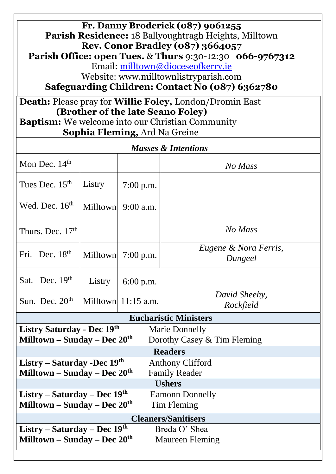**Fr. Danny Broderick (087) 9061255 Parish Residence:** 18 Ballyoughtragh Heights, Milltown **Rev. Conor Bradley (087) 3664057 Parish Office: open Tues.** & **Thurs** 9:30-12:30 **066-9767312** Email: [milltown@dioceseofkerry.ie](mailto:milltown@dioceseofkerry.ie) Website: www.milltownlistryparish.com

**Safeguarding Children: Contact No (087) 6362780**

**Death:** Please pray for **Willie Foley,** London/Dromin East  **(Brother of the late Seano Foley)**

**Baptism:** We welcome into our Christian Community  **Sophia Fleming,** Ard Na Greine

| <b>Masses &amp; Intentions</b>                                                  |        |                       |                                  |  |  |
|---------------------------------------------------------------------------------|--------|-----------------------|----------------------------------|--|--|
| Mon Dec. $14th$                                                                 |        |                       | No Mass                          |  |  |
| Tues Dec. $15th$                                                                | Listry | $7:00$ p.m.           |                                  |  |  |
| Wed. Dec. $16th$                                                                |        | Milltown 9:00 a.m.    |                                  |  |  |
| Thurs. Dec. $17th$                                                              |        |                       | No Mass                          |  |  |
| Fri. Dec. $18th$                                                                |        | Milltown $7:00$ p.m.  | Eugene & Nora Ferris,<br>Dungeel |  |  |
| Sat. Dec. $19th$                                                                | Listry | $6:00$ p.m.           |                                  |  |  |
| Sun. Dec. $20th$                                                                |        | Milltown $11:15$ a.m. | David Sheehy,<br>Rockfield       |  |  |
| <b>Eucharistic Ministers</b>                                                    |        |                       |                                  |  |  |
| Listry Saturday - Dec 19th<br><b>Marie Donnelly</b>                             |        |                       |                                  |  |  |
| Milltown – Sunday – Dec $20th$<br>Dorothy Casey & Tim Fleming<br><b>Readers</b> |        |                       |                                  |  |  |
| Listry – Saturday - Dec $19th$<br><b>Anthony Clifford</b>                       |        |                       |                                  |  |  |
| Milltown – Sunday – Dec $20th$<br><b>Family Reader</b>                          |        |                       |                                  |  |  |
| <b>Ushers</b>                                                                   |        |                       |                                  |  |  |
| Listry – Saturday – Dec $19th$<br><b>Eamonn Donnelly</b>                        |        |                       |                                  |  |  |
| Milltown – Sunday – Dec $20th$<br>Tim Fleming                                   |        |                       |                                  |  |  |
| <b>Cleaners/Sanitisers</b>                                                      |        |                       |                                  |  |  |
| Listry – Saturday – Dec 19th                                                    |        |                       | Breda O' Shea                    |  |  |
| Milltown – Sunday – Dec $20th$<br><b>Maureen Fleming</b>                        |        |                       |                                  |  |  |
|                                                                                 |        |                       |                                  |  |  |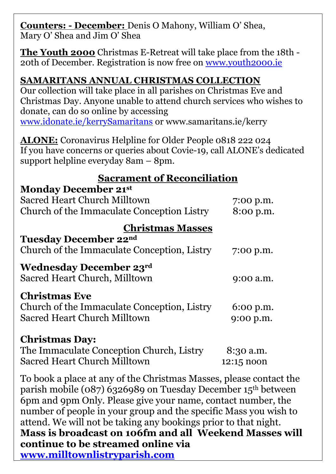**Counters: - December:** Denis O Mahony, William O' Shea, Mary O' Shea and Jim O' Shea

**The Youth 2000** Christmas E-Retreat will take place from the 18th - 20th of December. Registration is now free on [www.youth2000.ie](http://www.youth2000.ie/)

### **SAMARITANS ANNUAL CHRISTMAS COLLECTION**

Our collection will take place in all parishes on Christmas Eve and Christmas Day. Anyone unable to attend church services who wishes to donate, can do so online by accessing [www.idonate.ie/kerrySamaritans](http://www.idonate.ie/kerrySamaritans) or www.samaritans.ie/kerry

**ALONE:** Coronavirus Helpline for Older People 0818 222 024 If you have concerns or queries about Covie-19, call ALONE's dedicated support helpline everyday 8am – 8pm.

### **Sacrament of Reconciliation**

#### **Monday December 21st**

| Sacred Heart Church Milltown<br>Church of the Immaculate Conception Listry                                 | 7:00 p.m.<br>8:00 p.m.  |
|------------------------------------------------------------------------------------------------------------|-------------------------|
| <b>Christmas Masses</b><br><b>Tuesday December 22nd</b><br>Church of the Immaculate Conception, Listry     | 7:00 p.m.               |
| <b>Wednesday December 23rd</b><br>Sacred Heart Church, Milltown                                            | 9:00 a.m.               |
| <b>Christmas Eve</b><br>Church of the Immaculate Conception, Listry<br><b>Sacred Heart Church Milltown</b> | 6:00 p.m.<br>9:00 p.m.  |
| <b>Christmas Day:</b><br>The Immaculate Conception Church, Listry<br><b>Sacred Heart Church Milltown</b>   | 8:30 a.m.<br>12:15 noon |

To book a place at any of the Christmas Masses, please contact the parish mobile (087) 6326989 on Tuesday December 15th between 6pm and 9pm Only. Please give your name, contact number, the number of people in your group and the specific Mass you wish to attend. We will not be taking any bookings prior to that night. **Mass is broadcast on 106fm and all Weekend Masses will continue to be streamed online via [www.milltownlistryparish.com](http://www.milltownlistryparish.com/)**